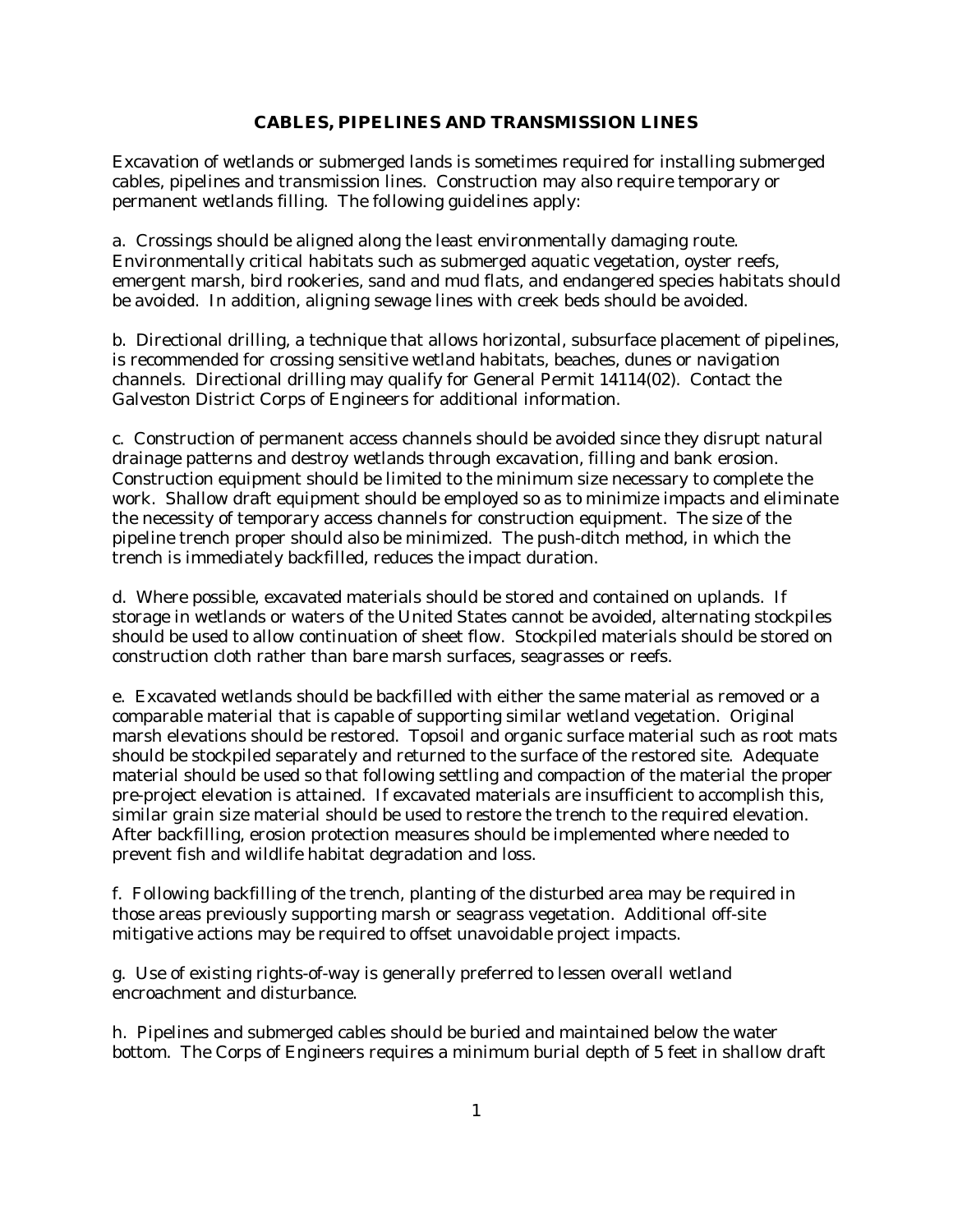## **CABLES, PIPELINES AND TRANSMISSION LINES**

Excavation of wetlands or submerged lands is sometimes required for installing submerged cables, pipelines and transmission lines. Construction may also require temporary or permanent wetlands filling. The following guidelines apply:

a. Crossings should be aligned along the least environmentally damaging route. Environmentally critical habitats such as submerged aquatic vegetation, oyster reefs, emergent marsh, bird rookeries, sand and mud flats, and endangered species habitats should be avoided. In addition, aligning sewage lines with creek beds should be avoided.

b. Directional drilling, a technique that allows horizontal, subsurface placement of pipelines, is recommended for crossing sensitive wetland habitats, beaches, dunes or navigation channels. Directional drilling may qualify for General Permit 14114(02). Contact the Galveston District Corps of Engineers for additional information.

c. Construction of permanent access channels should be avoided since they disrupt natural drainage patterns and destroy wetlands through excavation, filling and bank erosion. Construction equipment should be limited to the minimum size necessary to complete the work. Shallow draft equipment should be employed so as to minimize impacts and eliminate the necessity of temporary access channels for construction equipment. The size of the pipeline trench proper should also be minimized. The push-ditch method, in which the trench is immediately backfilled, reduces the impact duration.

d. Where possible, excavated materials should be stored and contained on uplands. If storage in wetlands or waters of the United States cannot be avoided, alternating stockpiles should be used to allow continuation of sheet flow. Stockpiled materials should be stored on construction cloth rather than bare marsh surfaces, seagrasses or reefs.

e. Excavated wetlands should be backfilled with either the same material as removed or a comparable material that is capable of supporting similar wetland vegetation. Original marsh elevations should be restored. Topsoil and organic surface material such as root mats should be stockpiled separately and returned to the surface of the restored site. Adequate material should be used so that following settling and compaction of the material the proper pre-project elevation is attained. If excavated materials are insufficient to accomplish this, similar grain size material should be used to restore the trench to the required elevation. After backfilling, erosion protection measures should be implemented where needed to prevent fish and wildlife habitat degradation and loss.

f. Following backfilling of the trench, planting of the disturbed area may be required in those areas previously supporting marsh or seagrass vegetation. Additional off-site mitigative actions may be required to offset unavoidable project impacts.

g. Use of existing rights-of-way is generally preferred to lessen overall wetland encroachment and disturbance.

h. Pipelines and submerged cables should be buried and maintained below the water bottom. The Corps of Engineers requires a minimum burial depth of 5 feet in shallow draft